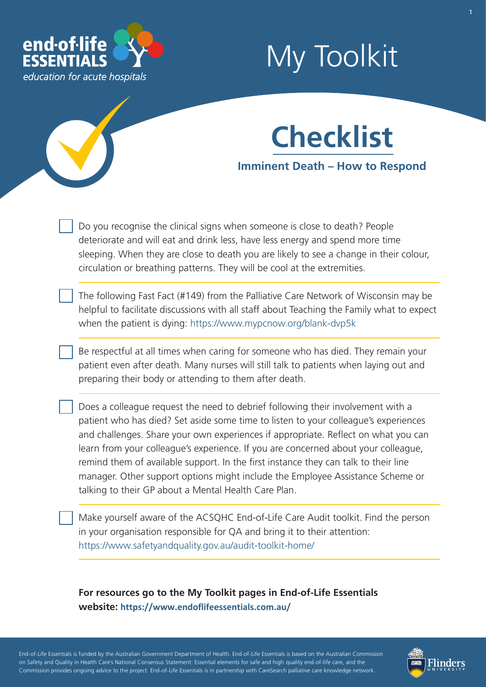

# My Toolkit



Do you recognise the clinical signs when someone is close to death? People deteriorate and will eat and drink less, have less energy and spend more time sleeping. When they are close to death you are likely to see a change in their colour, circulation or breathing patterns. They will be cool at the extremities.

The following Fast Fact (#149) from the Palliative Care Network of Wisconsin may be helpful to facilitate discussions with all staff about Teaching the Family what to expect when the patient is dying:<https://www.mypcnow.org/blank-dvp5k>

Be respectful at all times when caring for someone who has died. They remain your patient even after death. Many nurses will still talk to patients when laying out and preparing their body or attending to them after death.

Does a colleague request the need to debrief following their involvement with a patient who has died? Set aside some time to listen to your colleague's experiences and challenges. Share your own experiences if appropriate. Reflect on what you can learn from your colleague's experience. If you are concerned about your colleague, remind them of available support. In the first instance they can talk to their line manager. Other support options might include the Employee Assistance Scheme or talking to their GP about a Mental Health Care Plan.

Make yourself aware of the ACSQHC End-of-Life Care Audit toolkit. Find the person in your organisation responsible for QA and bring it to their attention: <https://www.safetyandquality.gov.au/audit-toolkit-home/>

### **For resources go to the My Toolkit pages in End-of-Life Essentials website: <https://www.endoflifeessentials.com.au/>**

- - - - End-of-Life Essentials is funded by the Australian Government Department of Health. End-of-Life Essentials is based on the Australian Commission ' - - - on Safety and Quality in Health Care's National Consensus Statement: Essential elements for safe and high quality end-of-life care, and the - - Commission provides ongoing advice to the project. End-of-Life Essentials is in partnership with CareSearch palliative care knowledge network.

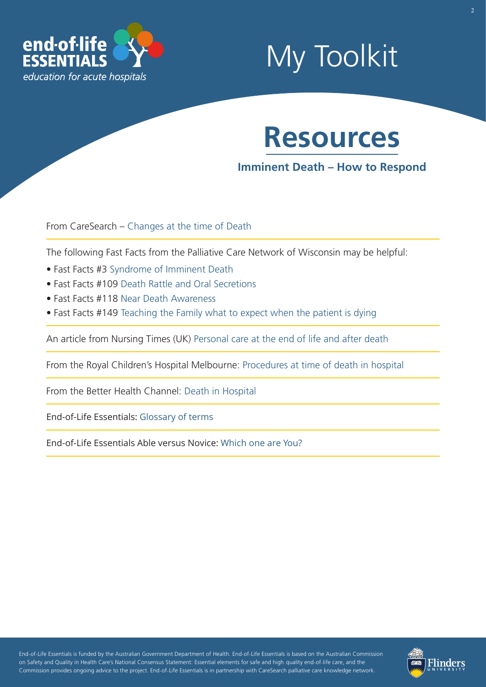

## My Toolkit

## **Resources**

### **Imminent Death – How to Respond**

From CareSearch – [Changes at the time of Death](https://www.caresearch.com.au/tabid/6192/Default.aspx)

The following Fast Facts from the Palliative Care Network of Wisconsin may be helpful:

- Fast Facts #3 [Syndrome of Imminent Death](https://www.mypcnow.org/blank-iwkmp)
- Fast Facts #109 [Death Rattle and Oral Secretions](https://www.mypcnow.org/blank-wz9l3)
- Fast Facts #118 [Near Death Awareness](https://www.mypcnow.org/blank-rnt14)
- Fast Facts #149 [Teaching the Family what to expect when the patient is dying](https://www.mypcnow.org/blank-dvp5k)

An article from Nursing Times (UK) [Personal care at the end of life and after death](https://www.nursingtimes.net/clinical-archive/end-of-life-and-palliative-care/personal-care-at-the-end-of-life-and-after-death/5044559.article) 

From the Royal Children's Hospital Melbourne: [Procedures at time of death in hospital](https://www.rch.org.au/rch_palliative/for_health_professionals/Procedures_at_time_of_death_in_hospital/) 

From the Better Health Channel: [Death in Hospital](https://www.betterhealth.vic.gov.au/health/servicesandsupport/death-in-hospital) 

End-of-Life Essentials: [Glossary of terms](https://www.endoflifeessentials.com.au/tabid/5311/Default.aspx)

End-of-Life Essentials Able versus Novice: [Which one are You?](https://www.endoflifeessentials.com.au/Portals/14/Images/Education%20Module/ABLE-VS-NOVICE.jpg)

- - - - End-of-Life Essentials is funded by the Australian Government Department of Health. End-of-Life Essentials is based on the Australian Commission ' - - - on Safety and Quality in Health Care's National Consensus Statement: Essential elements for safe and high quality end-of-life care, and the - - Commission provides ongoing advice to the project. End-of-Life Essentials is in partnership with CareSearch palliative care knowledge network.